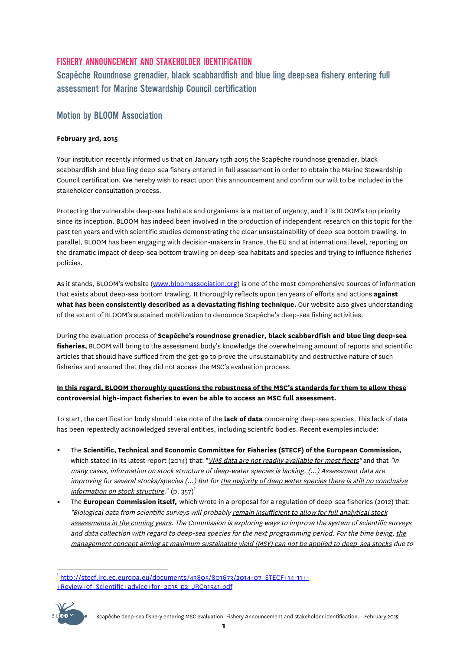## FISHERY ANNOUNCEMENT AND STAKEHOLDER IDENTIFICATION

Scapêche Roundnose grenadier, black scabbardfish and blue ling deep-sea fishery entering full assessment for Marine Stewardship Council certification

## Motion by BLOOM Association

## **February 3rd, 2015**

Your institution recently informed us that on January 15th 2015 the Scapêche roundnose grenadier, black scabbardfish and blue ling deep-sea fishery entered in full assessment in order to obtain the Marine Stewardship Council certification. We hereby wish to react upon this announcement and confirm our will to be included in the stakeholder consultation process.

Protecting the vulnerable deep-sea habitats and organisms is a matter of urgency, and it is BLOOM's top priority since its inception. BLOOM has indeed been involved in the production of independent research on this topic for the past ten years and with scientific studies demonstrating the clear unsustainability of deep-sea bottom trawling. In parallel, BLOOM has been engaging with decision-makers in France, the EU and at international level, reporting on the dramatic impact of deep-sea bottom trawling on deep-sea habitats and species and trying to influence fisheries policies.

As it stands, BLOOM's website (www.bloomassociation.org) is one of the most comprehensive sources of information that exists about deep-sea bottom trawling. It thoroughly reflects upon ten years of efforts and actions **against what has been consistently described as a devastating fishing technique.** Our website also gives understanding of the extent of BLOOM's sustained mobilization to denounce Scapêche's deep-sea fishing activities.

During the evaluation process of **Scapêche's roundnose grenadier, black scabbardfish and blue ling deep-sea fisheries,** BLOOM will bring to the assessment body's knowledge the overwhelming amount of reports and scientific articles that should have sufficed from the get-go to prove the unsustainability and destructive nature of such fisheries and ensured that they did not access the MSC's evaluation process.

## **In this regard, BLOOM thoroughly questions the robustness of the MSC's standards for them to allow these controversial high-impact fisheries to even be able to access an MSC full assessment.**

To start, the certification body should take note of the **lack of data** concerning deep-sea species. This lack of data has been repeatedly acknowledged several entities, including scientifc bodies. Recent exemples include:

- The **Scientific, Technical and Economic Committee for Fisheries (STECF) of the European Commission,** which stated in its latest report (2014) that: "*VMS data are not readily available for most fleets*" and that "in many cases, information on stock structure of deep-water species is lacking. (…) Assessment data are improving for several stocks/species (...) But for the majority of deep water species there is still no conclusive information on stock structure."  $(p. 357)$ <sup>1</sup>
- The **European Commission itself,** which wrote in a proposal for a regulation of deep-sea fisheries (2012) that: "Biological data from scientific surveys will probably remain insufficient to allow for full analytical stock assessments in the coming years. The Commission is exploring ways to improve the system of scientific surveys and data collection with regard to deep-sea species for the next programming period. For the time being, the management concept aiming at maximum sustainable yield (MSY) can not be applied to deep-sea stocks due to

<sup>+</sup>Review+of+Scientific+advice+for+2015-p2\_JRC91541.pdf



 <sup>1</sup> http://stecf.jrc.ec.europa.eu/documents/43805/801673/2014-07\_STECF+14-11+-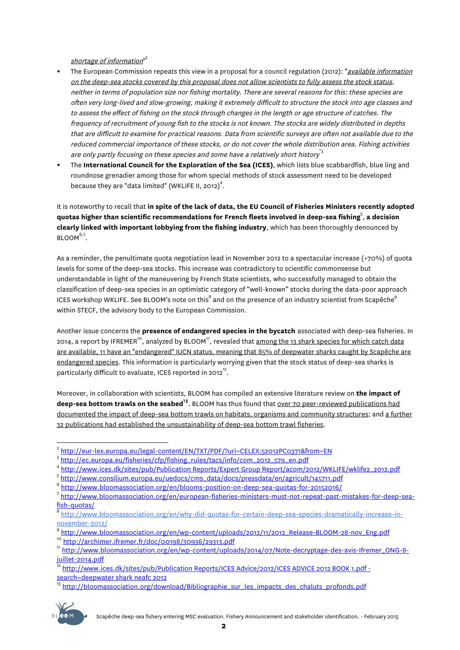shortage of information"<sup>2</sup>

- The European Commission repeats this view in a proposal for a council regulation (2012): "*available information* on the deep-sea stocks covered by this proposal does not allow scientists to fully assess the stock status, neither in terms of population size nor fishing mortality. There are several reasons for this: these species are often very long-lived and slow-growing, making it extremely difficult to structure the stock into age classes and to assess the effect of fishing on the stock through changes in the length or age structure of catches. The frequency of recruitment of young fish to the stocks is not known. The stocks are widely distributed in depths that are difficult to examine for practical reasons. Data from scientific surveys are often not available due to the reduced commercial importance of these stocks, or do not cover the whole distribution area. Fishing activities are only partly focusing on these species and some have a relatively short history  $3$
- The **International Council for the Exploration of the Sea (ICES)**, which lists blue scabbardfish, blue ling and roundnose grenadier among those for whom special methods of stock assessment need to be developed because they are "data limited" (WKLIFE II, 2012) $^4$ .

It is noteworthy to recall that **in spite of the lack of data, the EU Council of Fisheries Ministers recently adopted quotas higher than scientific recommendations for French fleets involved in deep-sea fishing**<sup>5</sup> , **a decision clearly linked with important lobbying from the fishing industry**, which has been thoroughly denounced by  $B$ LOOM $^{6,7}$ .

As a reminder, the penultimate quota negotiation lead in November 2012 to a spectacular increase (+70%) of quota levels for some of the deep-sea stocks. This increase was contradictory to scientific commonsense but understandable in light of the maneuvering by French State scientists, who successfully managed to obtain the classification of deep-sea species in an optimistic category of "well-known" stocks during the data-poor approach ICES workshop WKLIFE. See BLOOM's note on this $^8$  and on the presence of an industry scientist from Scapêche $^9$ within STECF, the advisory body to the European Commission.

Another issue concerns the **presence of endangered species in the bycatch** associated with deep-sea fisheries. In 2014, a report by IFREMER<sup>10</sup>, analyzed by BLOOM<sup>11</sup>, revealed that <u>among the 13 shark species for which catch data</u> are available, 11 have an "endangered" IUCN status, meaning that 85% of deepwater sharks caught by Scapêche are endangered species. This information is particularly worrying given that the stock status of deep-sea sharks is particularly difficult to evaluate, ICES reported in 2012<sup>12</sup>.

Moreover, in collaboration with scientists, BLOOM has compiled an extensive literature review on **the impact of**  deep-sea bottom trawls on the seabed<sup>13</sup>. BLOOM has thus found that <u>over 70 peer-reviewed publications had</u> documented the impact of deep-sea bottom trawls on habitats, organisms and community structures; and a further 32 publications had established the unsustainability of deep-sea bottom trawl fisheries.

<sup>13</sup> http://bloomassociation.org/download/Bibliographie\_sur\_les\_impacts\_des\_chaluts\_profonds.pdf



<sup>&</sup>lt;sup>2</sup> http://eur-lex.europa.eu/legal-content/EN/TXT/PDF/?uri=CELEX:52012PC0371&from=EN<br><sup>3</sup> http://ec.europa.eu/fisheries/cfp/fishing\_rules/tacs/info/com\_2012\_579\_en.pdf

<sup>&</sup>lt;sup>4</sup> http://www.ices.dk/sites/pub/Publication Reports/Expert Group Report/acom/2012/WKLIFE/wklife2\_2012.pdf<br><sup>5</sup> http://www.consilium.europa.eu/uedocs/cms\_data/docs/pressdata/en/agricult/145711.pdf

<sup>&</sup>lt;sup>6</sup> http://www.bloomassociation.org/en/blooms-position-on-deep-sea-quotas-for-20152016/<br><sup>7</sup> http://www.bloomassociation.org/en/european-fisheries-ministers-must-not-repeat-past-mistakes-for-deep-sea-

fi<mark>sh-quotas/</mark><br><sup>8</sup> http://www.bloomassociation.org/en/why-did-quotas-for-certain-deep-sea-species-dramatically-increase-in-<br>november-2012/

<sup>&</sup>lt;sup>9</sup> http://www.bloomassociation.org/en/wp-content/uploads/2012/11/2012\_Release-BLOOM-28-nov\_Eng.pdf<br><sup>10</sup> http://archimer.ifremer.fr/doc/00198/30936/29313.pdf<br><sup>11</sup> http://www.bloomassociation.org/en/wp-content/uploads/2014/

http://www.ices.dk/sites/pub/Publication Reports/ICES Advice/2012/ICES ADVICE 2012 BOOK 1.pdf search=deepwater shark neafc 2012